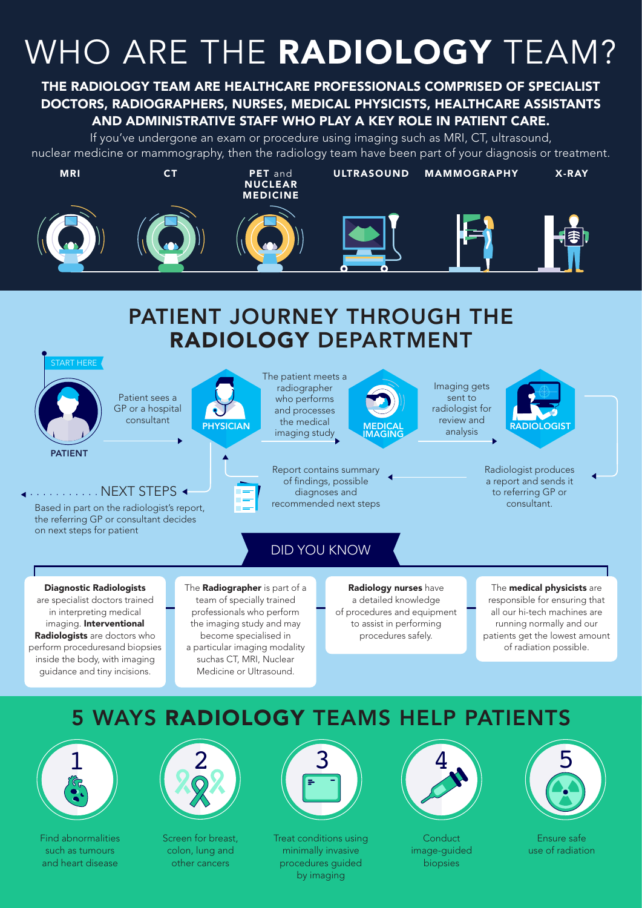# WHO ARE THE RADIOLOGY TEAM?

### THE RADIOLOGY TEAM ARE HEALTHCARE PROFESSIONALS COMPRISED OF SPECIALIST DOCTORS, RADIOGRAPHERS, NURSES, MEDICAL PHYSICISTS, HEALTHCARE ASSISTANTS AND ADMINISTRATIVE STAFF WHO PLAY A KEY ROLE IN PATIENT CARE.

If you've undergone an exam or procedure using imaging such as MRI, CT, ultrasound, nuclear medicine or mammography, then the radiology team have been part of your diagnosis or treatment.



### PATIENT JOURNEY THROUGH THE RADIOLOGY DEPARTMENT



are specialist doctors trained in interpreting medical imaging. Interventional Radiologists are doctors who perform proceduresand biopsies inside the body, with imaging guidance and tiny incisions.

#### team of specially trained professionals who perform the imaging study and may become specialised in a particular imaging modality suchas CT, MRI, Nuclear Medicine or Ultrasound.

a detailed knowledge of procedures and equipment to assist in performing procedures safely.

responsible for ensuring that all our hi-tech machines are running normally and our patients get the lowest amount of radiation possible.

### 5 WAYS RADIOLOGY TEAMS HELP PATIENTS



Find abnormalities such as tumours and heart disease



Screen for breast, colon, lung and other cancers



Treat conditions using minimally invasive procedures guided by imaging



**Conduct** image-guided biopsies



Ensure safe use of radiation